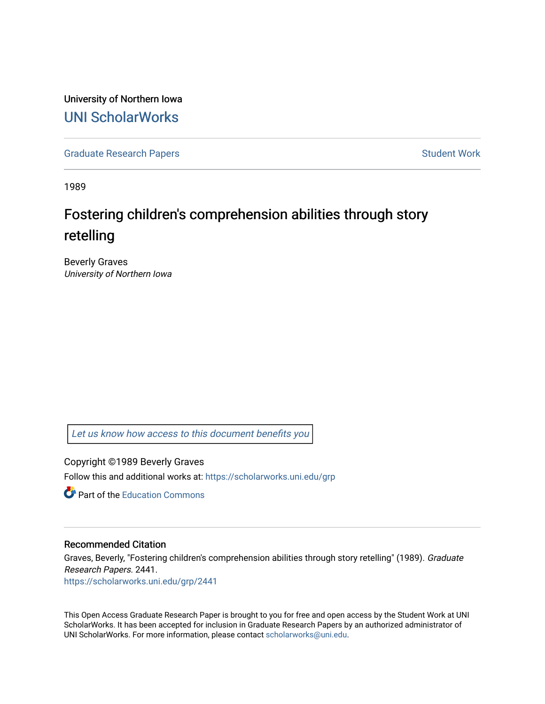University of Northern Iowa [UNI ScholarWorks](https://scholarworks.uni.edu/) 

[Graduate Research Papers](https://scholarworks.uni.edu/grp) **Student Work** Student Work

1989

## Fostering children's comprehension abilities through story retelling

Beverly Graves University of Northern Iowa

[Let us know how access to this document benefits you](https://scholarworks.uni.edu/feedback_form.html) 

Copyright ©1989 Beverly Graves Follow this and additional works at: [https://scholarworks.uni.edu/grp](https://scholarworks.uni.edu/grp?utm_source=scholarworks.uni.edu%2Fgrp%2F2441&utm_medium=PDF&utm_campaign=PDFCoverPages) 

**C** Part of the [Education Commons](http://network.bepress.com/hgg/discipline/784?utm_source=scholarworks.uni.edu%2Fgrp%2F2441&utm_medium=PDF&utm_campaign=PDFCoverPages)

#### Recommended Citation

Graves, Beverly, "Fostering children's comprehension abilities through story retelling" (1989). Graduate Research Papers. 2441.

[https://scholarworks.uni.edu/grp/2441](https://scholarworks.uni.edu/grp/2441?utm_source=scholarworks.uni.edu%2Fgrp%2F2441&utm_medium=PDF&utm_campaign=PDFCoverPages) 

This Open Access Graduate Research Paper is brought to you for free and open access by the Student Work at UNI ScholarWorks. It has been accepted for inclusion in Graduate Research Papers by an authorized administrator of UNI ScholarWorks. For more information, please contact [scholarworks@uni.edu.](mailto:scholarworks@uni.edu)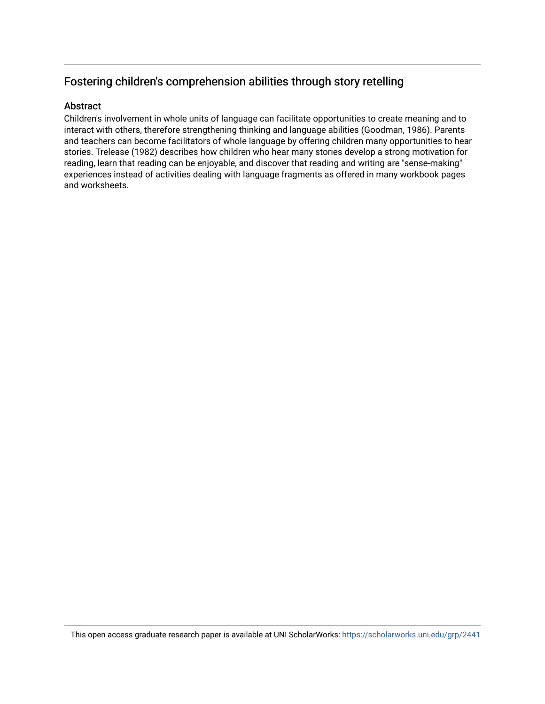## Fostering children's comprehension abilities through story retelling

#### Abstract

Children's involvement in whole units of language can facilitate opportunities to create meaning and to interact with others, therefore strengthening thinking and language abilities (Goodman, 1986). Parents and teachers can become facilitators of whole language by offering children many opportunities to hear stories. Trelease (1982) describes how children who hear many stories develop a strong motivation for reading, learn that reading can be enjoyable, and discover that reading and writing are "sense-making" experiences instead of activities dealing with language fragments as offered in many workbook pages and worksheets.

This open access graduate research paper is available at UNI ScholarWorks: <https://scholarworks.uni.edu/grp/2441>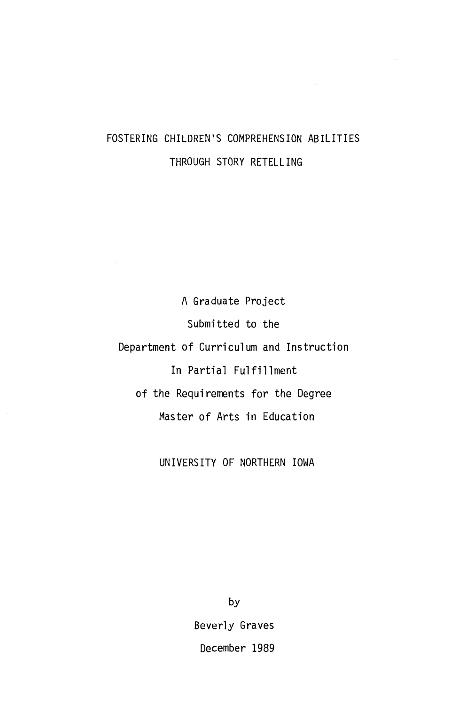## FOSTERING CHILDREN'S COMPREHENSION ABILITIES THROUGH STORY RETELLING

A Graduate Project Submitted to the Department of Curriculum and Instruction In Partial Fulfillment of the Requirements for the Degree Master of Arts in Education

UNIVERSITY OF NORTHERN IOWA

by Beverly Graves December 1989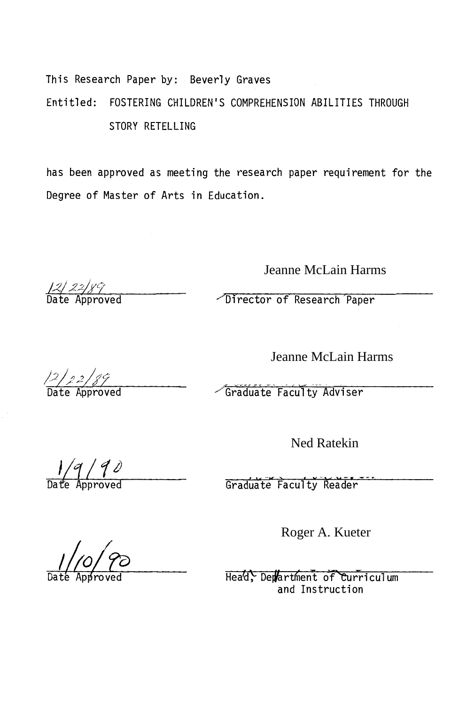This Research Paper by: Beverly Graves Entitled: FOSTERING CHILDREN'S COMPREHENSION ABILITIES THROUGH STORY RETELLING

has been approved as meeting the research paper requirement for the Degree of Master of Arts in Education.

Jeanne McLain Harms

Director of Research Paper

Jeanne McLain Harms

Graduate Faculty Adviser

Ned Ratekin

 $\sqrt{q/ q}$   $\theta$ 

Roger A. Kueter

Head, Department of Curriculum<br>and Instruction

Date Approved

12/22/89<br>Date Approved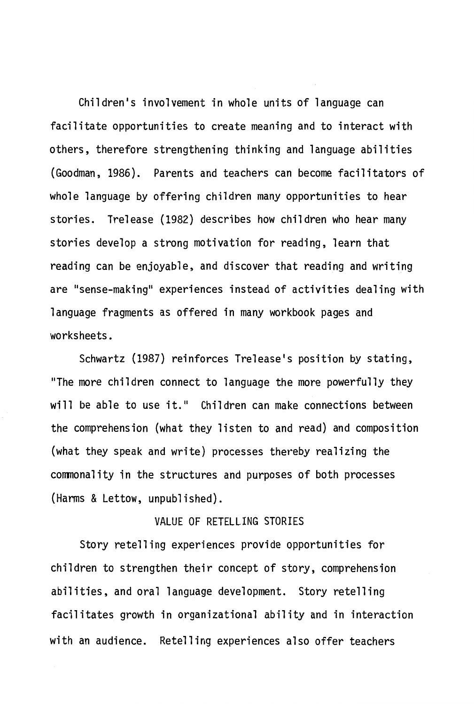Children's involvement in whole units of language can facilitate opportunities to create meaning and to interact with others, therefore strengthening thinking and language abilities (Goodman, 1986). Parents and teachers can become facilitators of whole language by offering children many opportunities to hear stories. Trelease (1982) describes how children who hear many stories develop a strong motivation for reading, learn that reading can be enjoyable, and discover that reading and writing are "sense-making" experiences instead of activities dealing with language fragments as offered in many workbook pages and worksheets.

Schwartz (1987) reinforces Trelease's position by stating, "The more children connect to 1 anguage the more powerfully they will be able to use it." Children can make connections between the comprehension (what they listen to and read) and composition (what they speak and write) processes thereby realizing the conmonality in the structures and purposes of both processes (Harms & Lettow, unpublished).

#### VALUE OF RETELLING STORIES

Story retelling experiences provide opportunities for children to strengthen their concept of story, comprehension abilities, and oral language development. Story retelling facilitates growth in organizational ability and in interaction with an audience. Retelling experiences also offer teachers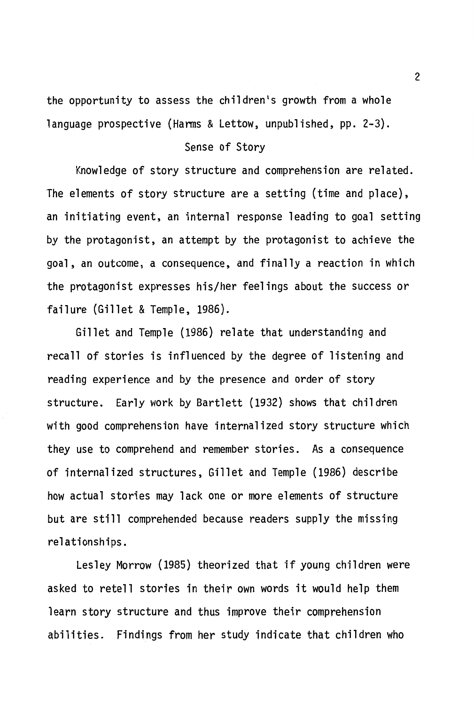the opportunity to assess the children's growth from a whole language prospective (Harms & Lettow, unpublished, pp. 2-3).

#### Sense of Story

Knowledge of story structure and comprehension are related. The elements of story structure are a setting (time and place), an initiating event, an internal response leading to goal setting by the protagonist, an attempt by the protagonist to achieve the goal, an outcome, a consequence, and finally a reaction in which the protagonist expresses his/her feelings about the success or failure (Gillet & Temple, 1986).

Gillet and Temple (1986) relate that understanding and recall of stories is influenced by the degree of listening and reading experience and by the presence and order of story structure. Early work by Bartlett (1932) shows that children with good comprehension have internalized story structure which they use to comprehend and remember stories. As a consequence of internalized structures, Gillet and Temple (1986) describe how actual stories may lack one or more elements of structure but are still comprehended because readers supply the missing relationships.

Lesley Morrow (1985) theorized that if young children were asked to retell stories in their own words it would help them learn story structure and thus improve their comprehension abilities. Findings from her study indicate that children who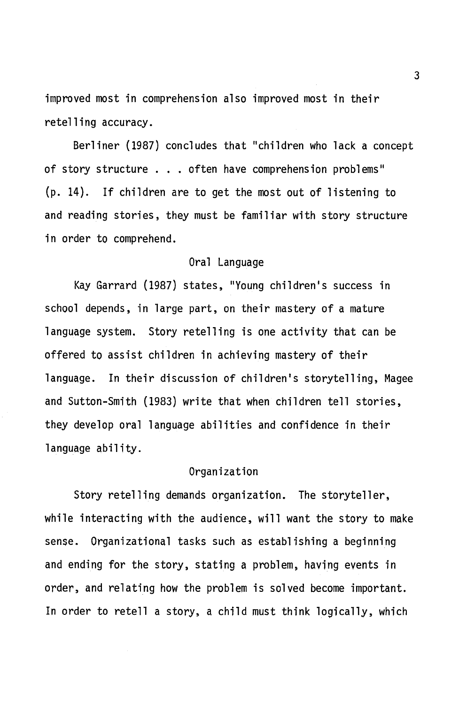improved most in comprehension also improved most in their retelling accuracy.

Berliner (1987) concludes that "children who lack a concept of story structure . . . often have comprehension problems" (p. 14). If children are to get the most out of listening to and reading stories, they must be familiar with story structure in order to comprehend.

#### Oral Language

Kay Garrard (1987) states, "Young children's success in school depends, in large part, on their mastery of a mature language system. Story retelling is one activity that can be offered to assist children in achieving mastery of their language. In their discussion of children's storytelling, Magee and Sutton-Smith (1983) write that when children tell stories, they develop oral language abilities and confidence in their language ability.

#### Organization

Story retelling demands organization. The storyteller, while interacting with the audience, will want the story to make sense. Organizational tasks such as establishing a beginning and ending for the story, stating a problem, having events in order, and relating how the problem is solved become important. In order to retell a story, a child must think logically, which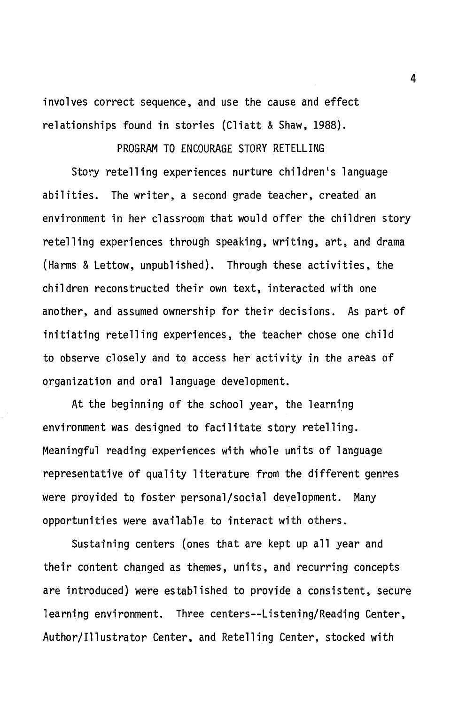involves correct sequence, and use the cause and effect relationships found in stories (Cliatt & Shaw, 1988).

#### PROGRAM TO ENCOURAGE STORY RETELLING

Story retelling experiences nurture children's language abilities. The writer, a second grade teacher, created an environment in her classroom that would offer the children story retelling experiences through speaking, writing, art, and drama (Harms & Lettow, unpublished). Through these activities, the children reconstructed their own text, interacted with one another, and assumed ownership for their decisions. As part of initiating retelling experiences, the teacher chose one child to observe closely and to access her activity in the areas of organization and oral language development.

At the beginning of the school year, the learning environment was designed to facilitate story retelling. Meaningful reading experiences with whole units of language representative of quality literature from the different genres were provided to foster personal/social development. Many opportunities were available to interact with others.

Sustaining centers (ones that are kept up all year and their content changed as themes, units, and recurring concepts are introduced) were established to provide a consistent, secure learning environment. Three centers--Listening/Reading Center, Author/Illustrator Center, and Retelling Center, stocked with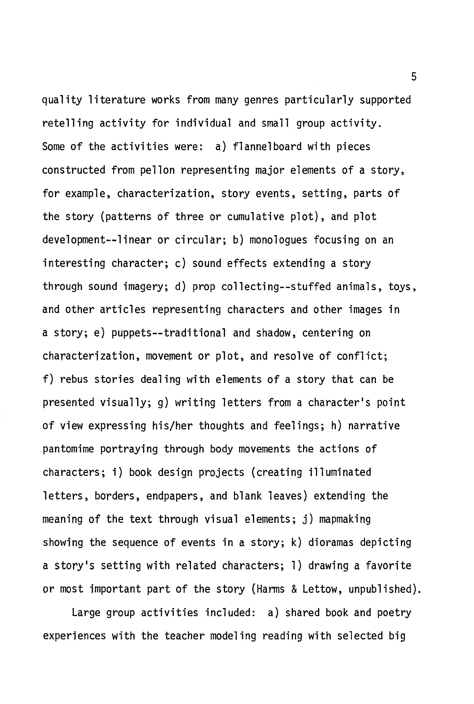quality literature works from many genres particularly supported retelling activity for individual and small group activity. Some of the activities were: a) flannelboard with pieces constructed from pellon representing major elements of a story, for example, characterization, story events, setting, parts of the story (patterns of three or cumulative plot), and plot development--linear or circular; b) monologues focusing on an interesting character; c) sound effects extending a story through sound imagery; d) prop collecting--stuffed animals, toys, and other articles representing characters and other images in a story; e) puppets--traditional and shadow, centering on characterization, movement or plot, and resolve of conflict; f) rebus stories dealing with elements of a story that can be presented visually; g) writing letters from a character's point of view expressing his/her thoughts and feelings; h) narrative pantomime portraying through body movements the actions of characters; i) book design projects (creating illuminated letters, borders, endpapers, and blank leaves) extending the meaning of the text through visual elements; j) mapmaking showing the sequence of events in a story; k) dioramas depicting a story's setting with related characters; 1) drawing a favorite or most important part of the story (Harms & Lettow, unpublished).

Large group activities included: a) shared book and poetry experiences with the teacher modeling reading with selected big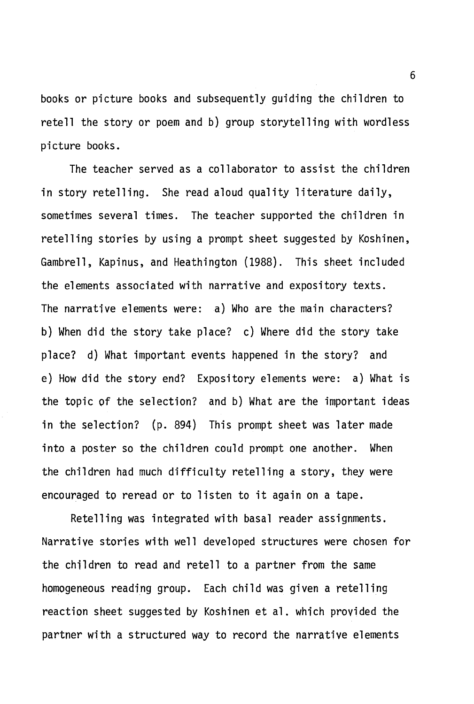books or picture books and subsequently guiding the children to retell the story or poem and b) group storytelling with wordless picture books.

The teacher served as a collaborator to assist the children in story retelling. She read aloud quality literature daily, sometimes several times. The teacher supported the children in retelling stories by using a prompt sheet suggested by Koshinen, Gambrell, Kapinus, and Heathington (1988). This sheet included the elements associated with narrative and expository texts. The narrative elements were: a) Who are the main characters? b) When did the story take place? c) Where did the story take place? d) What important events happened in the story? and e) How did the story end? Expository elements were: a) What is the topic of the selection? and b) What are the important ideas in the selection? (p. 894) This prompt sheet was later made into a poster so the children could prompt one another. When the children had much difficulty retelling a story, they were encouraged to reread or to listen to it again on a tape.

Retelling was integrated with basal reader assignments. Narrative stories with well developed structures were chosen for the children to read and retell to a partner from the same homogeneous reading group. Each child was given a retelling reaction sheet suggested by Koshinen et al. which provided the partner with a structured way to record the narrative elements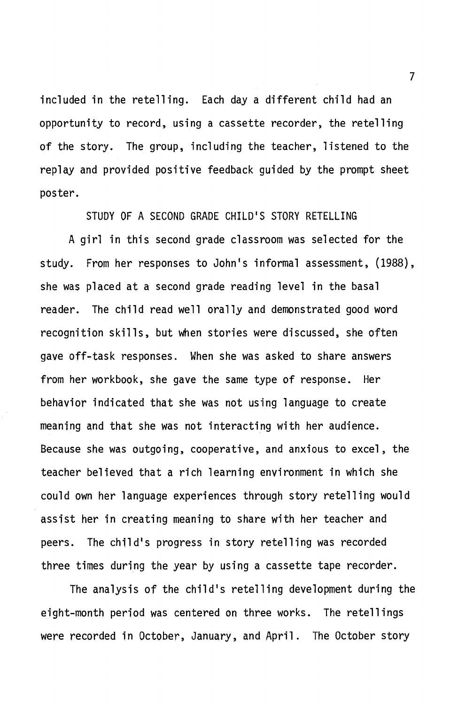included in the retelling. Each day a different child had an opportunity to record, using a cassette recorder, the retelling of the story. The group, including the teacher, listened to the replay and provided positive feedback guided by the prompt sheet poster.

STUDY OF A SECOND GRADE CHILD'S STORY RETELLING

A girl in this second grade classroom was selected for the study. From her responses to John's informal assessment, (1988), she was placed at a second grade reading level in the basal reader. The child read well orally and demonstrated good word recognition skills, but when stories were discussed, she often gave off-task responses. When she was asked to share answers from her workbook, she gave the same type of response. Her behavior indicated that she was not using language to create meaning and that she was not interacting with her audience. Because she was outgoing, cooperative, and anxious to excel, the teacher believed that a rich learning environment in which she could own her language experiences through story retelling would assist her in creating meaning to share with her teacher and peers. The child's progress in story retelling was recorded three times during the year by using a cassette tape recorder.

The analysis of the child's retelling development during the eight-month period was centered on three works. The retellings were recorded in October, January, and April. The October story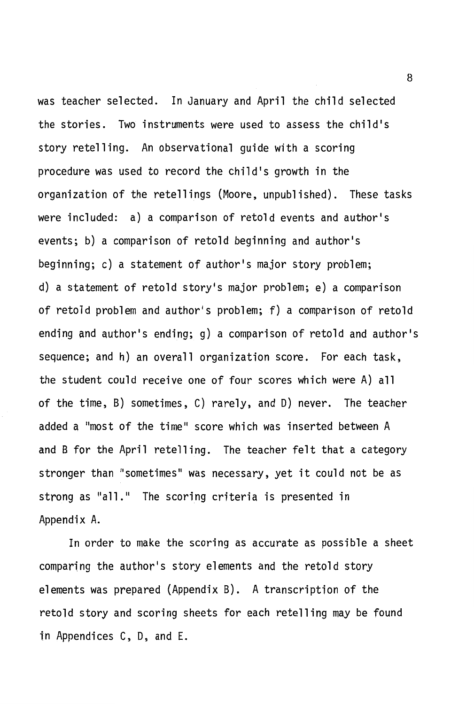was teacher selected. In January and April the child selected the stories. Two instruments were used to assess the child's story retelling. An observational guide with a scoring procedure was used to record the child's growth in the organization of the retellings (Moore, unpublished). These tasks were included: a) a comparison of retold events and author's events; b) a comparison of retold beginning and author's beginning; c) a statement of author's major story problem; d) a statement of retold story's major problem; e) a comparison of retold problem and author's problem; f) a comparison of retold ending and author's ending; g) a comparison of retold and author's sequence; and h) an overall organization score. For each task, the student could receive one of four scores which were A) all of the time, B) sometimes, C) rarely, and D) never. The teacher added a "most of the time" score which was inserted between A and B for the April retelling. The teacher felt that a category stronger than "sometimes" was necessary, yet it could not be as strong as "all." The scoring criteria is presented in Appendix A.

In order to make the scoring as accurate as possible a sheet comparing the author's story elements and the retold story elements was prepared (Appendix B). A transcription of the retold story and scoring sheets for each retelling may be found in Appendices C, D, and E.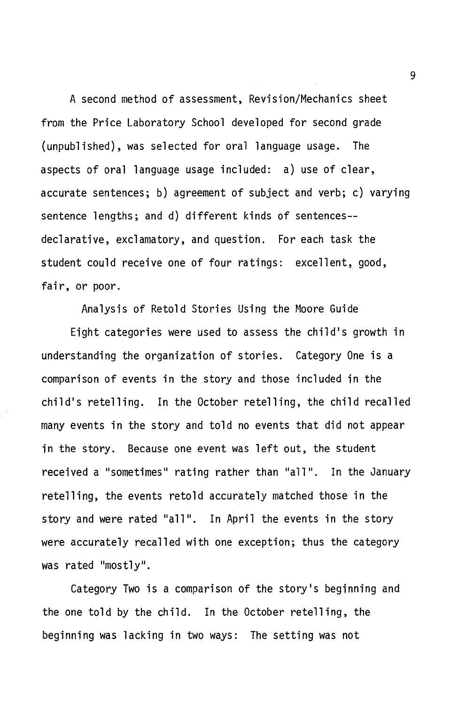A second method of assessment, Revision/Mechanics sheet from the Price Laboratory School developed for second grade (unpublished), was selected for oral language usage. The aspects of oral language usage included: a) use of clear, accurate sentences; b) agreement of subject and verb; c) varying sentence lengths; and d) different kinds of sentences- declarative, exclamatory, and question. For each task the student could receive one of four ratings: excellent, good, fair, or poor.

Analysis of Retold Stories Using the Moore Guide

Eight categories were used to assess the child's growth in understanding the organization of stories. Category One is a comparison of events in the story and those included in the child's retelling. In the October retelling, the child recalled many events in the story and told no events that did not appear in the story. Because one event was left out, the student received a "sometimes" rating rather than "all". In the January retelling, the events retold accurately matched those in the story and were rated "all". In April the events in the story were accurately recalled with one exception; thus the category was rated "mostly".

Category Two is a comparison of the story's beginning and the one told by the child. In the October retelling, the beginning was lacking in two ways: The setting was not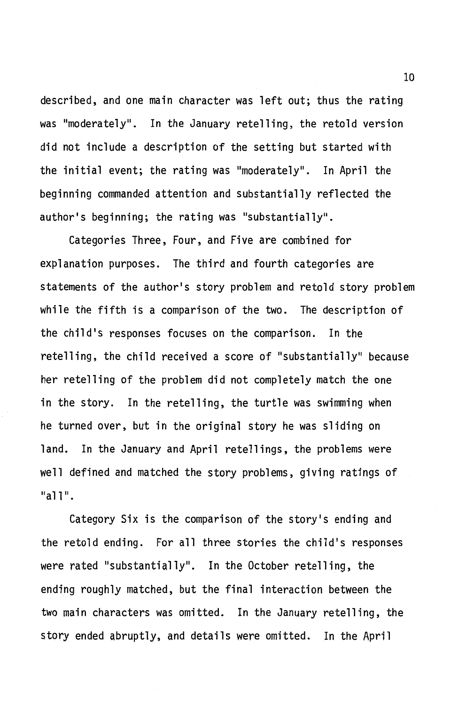described, and one main character was left out; thus the rating was "moderately". In the January retelling, the retold version did not include a description of the setting but started with the initial event; the rating was "moderately". In April the beginning commanded attention and substantially reflected the author's beginning; the rating was "substantially".

Categories Three, Four, and Five are combined for explanation purposes. The third and fourth categories are statements of the author's story problem and retold story problem while the fifth is a comparison of the two. The description of the child's responses focuses on the comparison. In the retelling, the child received a score of "substantially" because her retelling of the problem did not completely match the one in the story. In the retelling, the turtle was swimming when he turned over, but in the original story he was sliding on land. In the January and April retellings, the problems were well defined and matched the story problems, giving ratings of "all".

Category Six is the comparison of the story's ending and the retold ending. For all three stories the child's responses were rated "substantially". In the October retelling, the ending roughly matched, but the final interaction between the two main characters was omitted. In the January retelling, the story ended abruptly, and details were omitted. In the April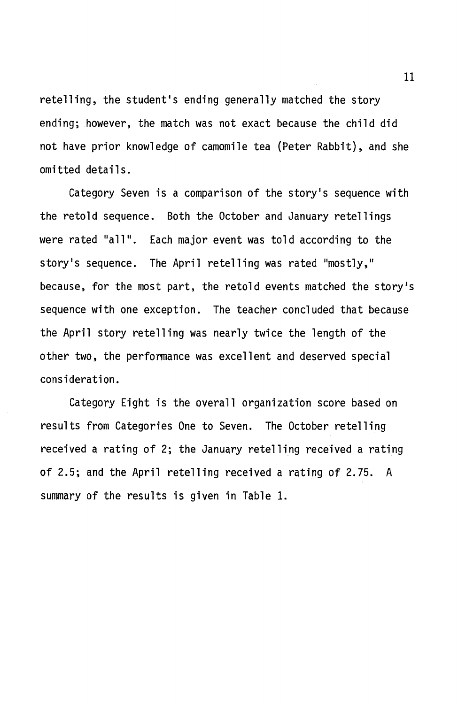retelling, the student's ending generally matched the story ending; however, the match was not exact because the child did not have prior knowledge of camomile tea (Peter Rabbit), and she omitted details.

Category Seven is a comparison of the story's sequence with the retold sequence. Both the October and January retellings were rated "all". Each major event was told according to the story's sequence. The April retelling was rated "mostly," because, for the most part, the retold events matched the story's sequence with one exception. The teacher concluded that because the April story retelling was nearly twice the length of the other two, the performance was excellent and deserved special consideration.

Category Eight is the overall organization score based on results from Categories One to Seven. The October retelling received a rating of 2; the January retelling received a rating of 2.5; and the April retelling received a rating of 2.75. A summary of the results is given in Table 1.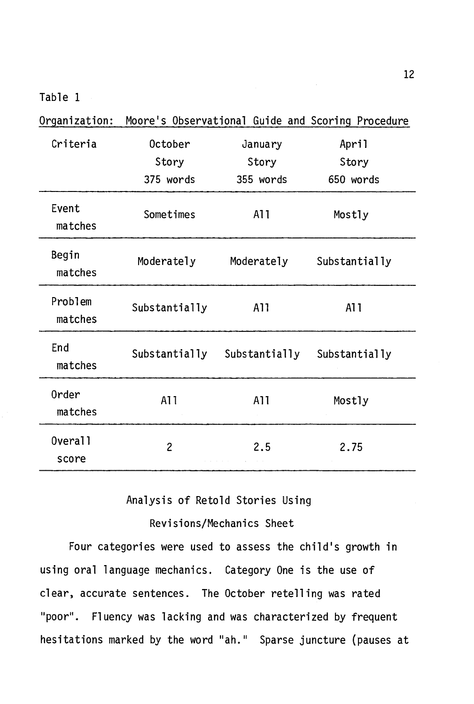Table 1

| Organization:                |                  |                  | Moore's Observational Guide and Scoring Procedure |
|------------------------------|------------------|------------------|---------------------------------------------------|
| Criteria                     | October<br>Story | January<br>Story | April<br>Story                                    |
|                              | 375 words        | 355 words        | 650 words                                         |
| Event<br>matches             | Sometimes        | A11              | Mostly                                            |
| Begin<br>matches             | Moderately       | Moderately       | Substantially                                     |
| Problem<br>matches           | Substantially    | A11              | A11                                               |
| End<br>matches               | Substantially    | Substantially    | Substantially                                     |
| 0rder<br>matches             | A11              | A11              | Mostly                                            |
| Overal <sub>1</sub><br>score | $\overline{c}$   | 2.5              | 2.75                                              |

Analysis of Retold Stories Using

Revisions/Mechanics Sheet

Four categories were used to assess the child's growth in using oral language mechanics. Category One is the use of clear, accurate sentences. The October retelling was rated "poor". Fluency was lacking and was characterized by frequent hesitations marked by the word "ah." Sparse juncture (pauses at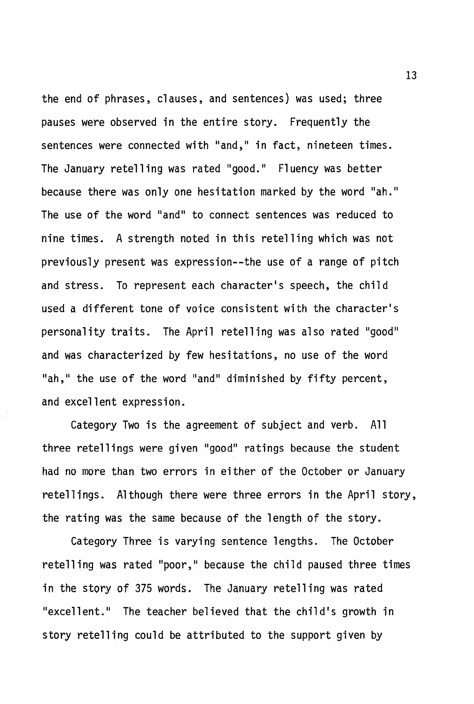the end of phrases, clauses, and sentences) was used; three pauses were observed in the entire story. Frequently the sentences were connected with "and," in fact, nineteen times. The January retelling was rated "good." Fluency was better because there was only one hesitation marked by the word "ah." The use of the word "and" to connect sentences was reduced to nine times. A strength noted in this retelling which was not previously present was expression--the use of a range of pitch and stress. To represent each character's speech, the child used a different tone of voice consistent with the character's personality traits. The April retelling was also rated "good" and was characterized by few hesitations, no use of the word "ah," the use of the word "and" diminished by fifty percent, and excellent expression.

Category Two is the agreement of subject and verb. All three retellings were given "good" ratings because the student had no more than two errors in either of the October or January retellings. Although there were three errors in the April story, the rating was the same because of the length of the story.

Category Three is varying sentence lengths. The October retelling was rated "poor," because the child paused three times in the story of 375 words. The January retelling was rated "excellent." The teacher believed that the child's growth in story retelling could be attributed to the support given by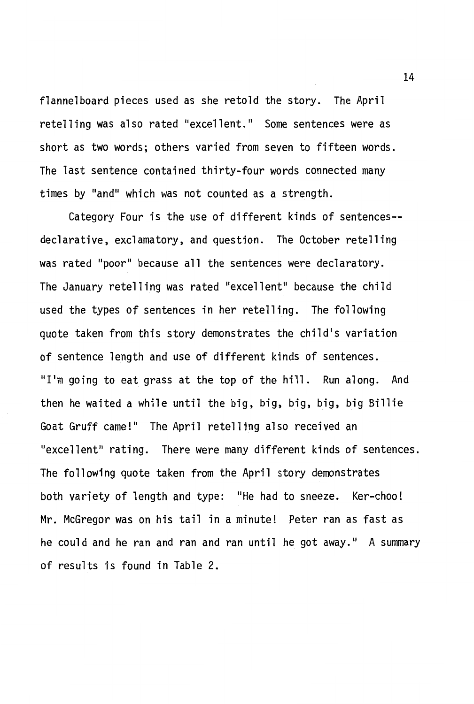flannelboard pieces used as she retold the story. The April retelling was also rated "excellent." Some sentences were as short as two words; others varied from seven to fifteen words. The last sentence contained thirty-four words connected many times by "and" which was not counted as a strength.

Category Four is the use of different kinds of sentences- declarative, exclamatory, and question. The October retelling was rated "poor" because all the sentences were declaratory. The January retelling was rated "excellent" because the child used the types of sentences in her retelling. The following quote taken from this story demonstrates the child's variation of sentence length and use of different kinds of sentences. "I'm going to eat grass at the top of the hill. Run along. And then he waited a while until the big, big, big, big, big Billie Goat Gruff came!" The April retelling also received an "excellent" rating. There were many different kinds of sentences. The following quote taken from the April story demonstrates both variety of length and type: "He had to sneeze. Ker-choo! Mr. McGregor was on his tail in a minute! Peter ran as fast as he could and he ran and ran and ran until he got away." A summary of results is found in Table 2.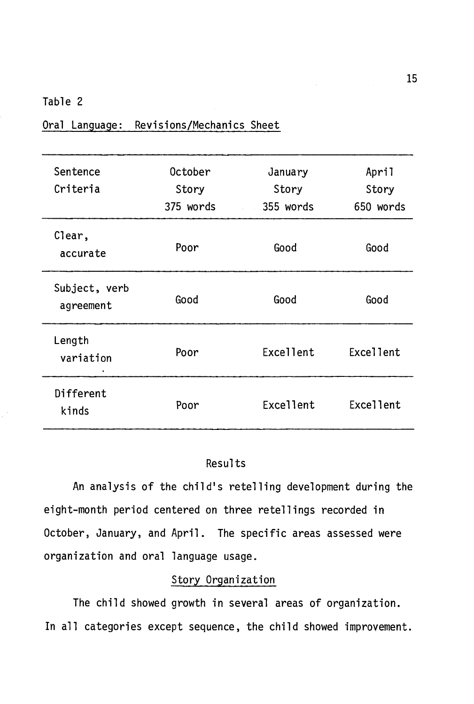#### Table 2

| Sentence<br>Criteria       | October<br>Story<br>375 words | January<br>Story<br>355 words | April<br>Story<br>650 words |
|----------------------------|-------------------------------|-------------------------------|-----------------------------|
| Clear,<br>accurate         | Poor                          | Good                          | Good                        |
| Subject, verb<br>agreement | Good                          | Good                          | Good                        |
| Length<br>variation        | Poor                          | Excellent                     | <b>Excellent</b>            |
| Different<br>kinds         | Poor                          | Excellent                     | Excellent                   |

Oral Language: Revisions/Mechanics Sheet

#### Results

An analysis of the child's retelling development during the eight-month period centered on three retellings recorded in October, January, and April. The specific areas assessed were organization and oral language usage.

### Story Organization

The child showed growth in several areas of organization. In all categories except sequence, the child showed improvement.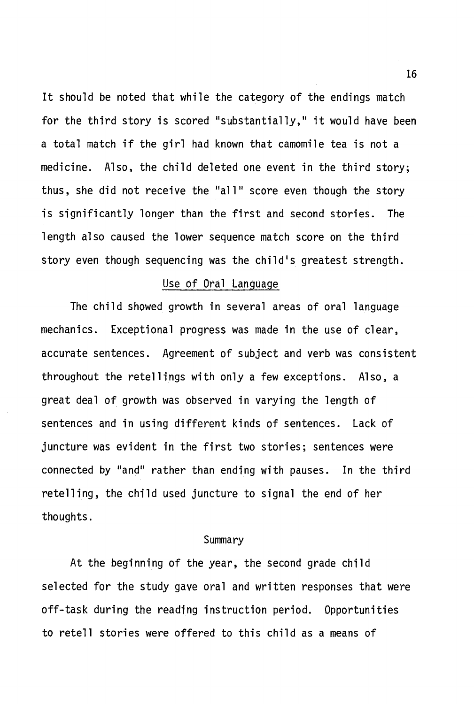It should be noted that while the category of the endings match for the third story is scored "substantially," it would have been a total match if the girl had known that camomile tea is not a medicine. Also, the child deleted one event in the third story; thus, she did not receive the "all" score even though the story is significantly longer than the first and second stories. The length also caused the lower sequence match score on the third story even though sequencing was the child's greatest strength.

#### Use of Oral Language

The child showed growth in several areas of oral language mechanics. Exceptional progress was made in the use of clear, accurate sentences. Agreement of subject and verb was consistent throughout the retellings with only a few exceptions. Also, a great deal of growth was observed in varying the length of sentences and in using different kinds of sentences. Lack of juncture was evident in the first two stories; sentences were connected by "and" rather than ending with pauses. In the third retelling, the child used juncture to signal the end of her thoughts.

#### Summary

At the beginning of the year, the second grade child selected for the study gave oral and written responses that were off-task during the reading instruction period. Opportunities to retell stories were offered to this child as a means of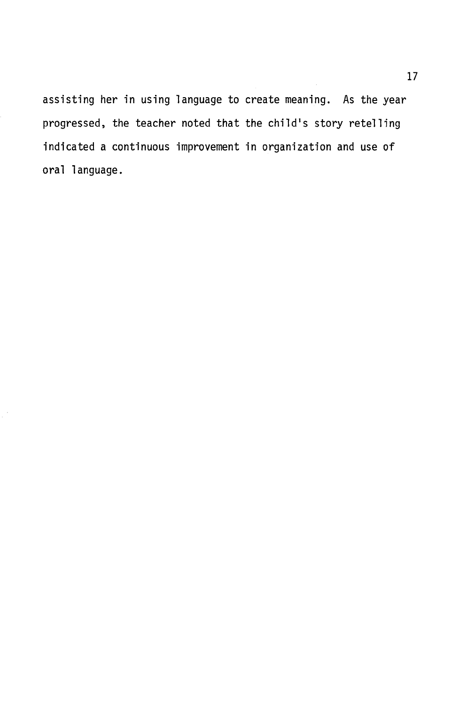assisting her in using language to create meaning. As the year progressed, the teacher noted that the child's story retelling indicated a continuous improvement in organization and use of oral language.

 $\bar{z}$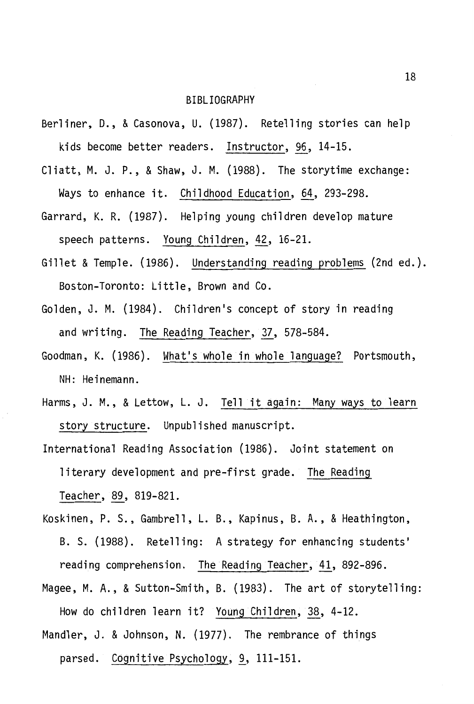#### BIBLIOGRAPHY

- Berliner, D., & Casonova, U. (1987). Retelling stories can help kids become better readers. Instructor, 96, 14-15.
- Cliatt, M. J. P., & Shaw, J. M. (1988). The storytime exchange: Ways to enhance it. Childhood Education, 64, 293-298.
- Garrard, K. R. (1987). Helping young children develop mature speech patterns. Young Children, 42, 16-21.
- Gillet & Temple. (1986). Understanding reading problems (2nd ed.). Boston-Toronto: Little, Brown and Co.
- Golden, J.M. (1984). Children's concept of story in reading and writing. The Reading Teacher, 37, 578-584.
- Goodman, K. (1986). What's whole in whole language? Portsmouth, NH: Heinemann.
- Harms, J.M., & Lettow, L. J. Tell it again: Many ways to learn story structure. Unpublished manuscript.
- International Reading Association (1986). Joint statement on literary development and pre-first grade. The Reading Teacher, 89, 819-821.
- Koskinen, P. S., Gambrell, L. B., Kapinus, B. A., & Heathington, B. S. (1988). Retelling: A strategy for enhancing students' reading comprehension. The Reading Teacher, 41, 892-896.
- Magee, M.A., & Sutton-Smith, B. (1983). The art of storytelling: How do children learn it? Young Children, 38, 4-12.
- Mandler, J. & Johnson, N. (1977). The rembrance of things parsed. Cognitive Psychology, 9, 111-151.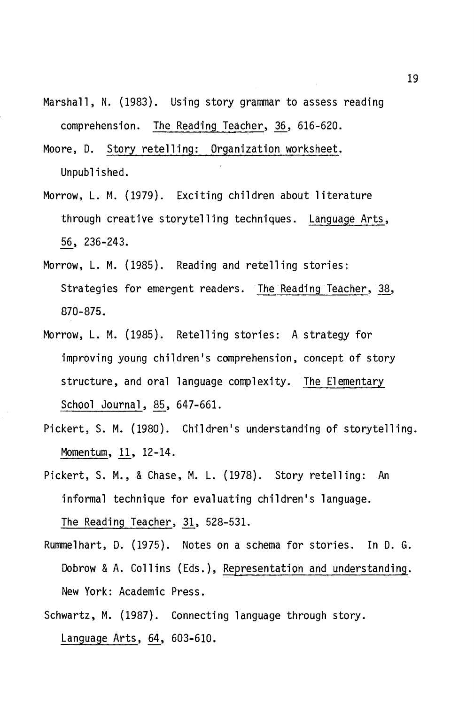- Marshall, N. (1983). Using story grammar to assess reading comprehension. The Reading Teacher, 36, 616-620.
- Moore, D. Story retelling: Organization worksheet. Unpublished.
- Morrow, L. M. (1979). Exciting children about literature through creative storytelling techniques. Language Arts, 56, 236-243.
- Morrow, L. M. (1985). Reading and retelling stories: Strategies for emergent readers. The Reading Teacher, 38, 870-875.
- Morrow, L. M. (1985). Retelling stories: A strategy for improving young children's comprehension, concept of story structure, and oral language complexity. The Elementary School Journal, 85, 647-661.
- Pickert, S. M. (1980). Children's understanding of storytelling. Momentum, 11, 12-14.
- Pickert, S. M., & Chase, M. L. (1978). Story retelling: An informal technique for evaluating children's language. The Reading Teacher,  $31, 528-531.$
- Rummelhart, D. (1975). Notes on a schema for stories. In D. G. Dobrow & A. Collins (Eds.), Representation and understanding. New York: Academic Press.
- Schwartz, M. (1987). Connecting language through story. Language Arts, 64, 603-610.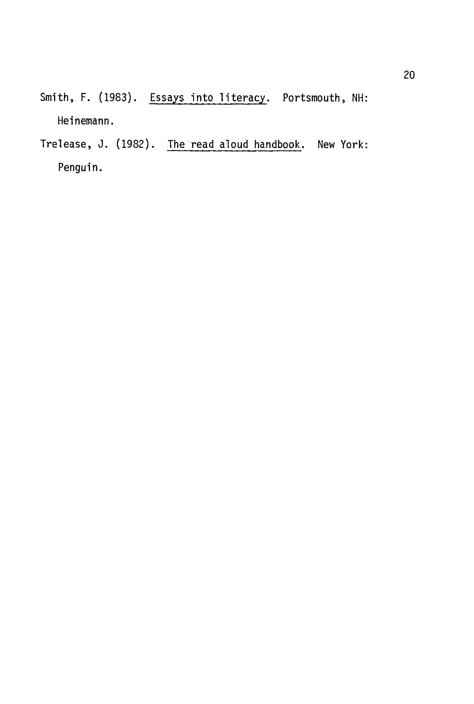Smith, F. (1983). Essays into literacy. Portsmouth, NH: Heinemann.

Trelease, J. (1982). The read aloud handbook. New York: Penguin.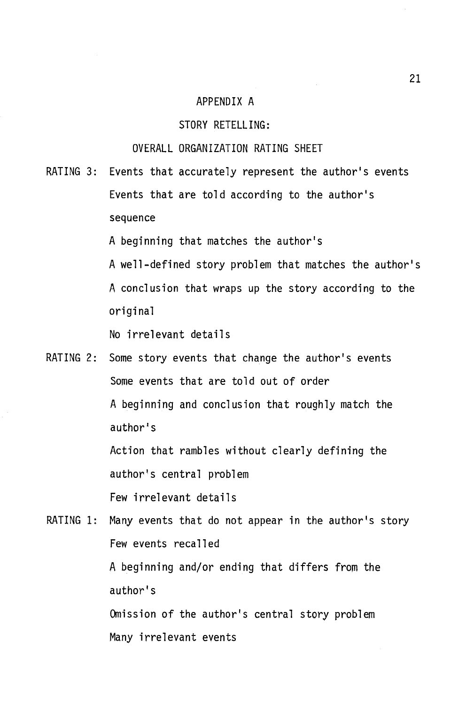#### APPENDIX A

#### STORY RETELLING:

#### OVERALL ORGANIZATION RATING SHEET

RATING 3: Events that accurately represent the author's events Events that are told according to the author's sequence

A beginning that matches the author's

A well-defined story problem that matches the author's A conclusion that wraps up the story according to the original

No irrelevant details

RATING 2: Some story events that change the author's events Some events that are told out of order A beginning and conclusion that roughly match the author's Action that rambles without clearly defining the author's central problem Few irrelevant details

RATING 1: Many events that do not appear in the author's story Few events recalled A beginning and/or ending that differs from the author's Omission of the author's central story problem Many irrelevant events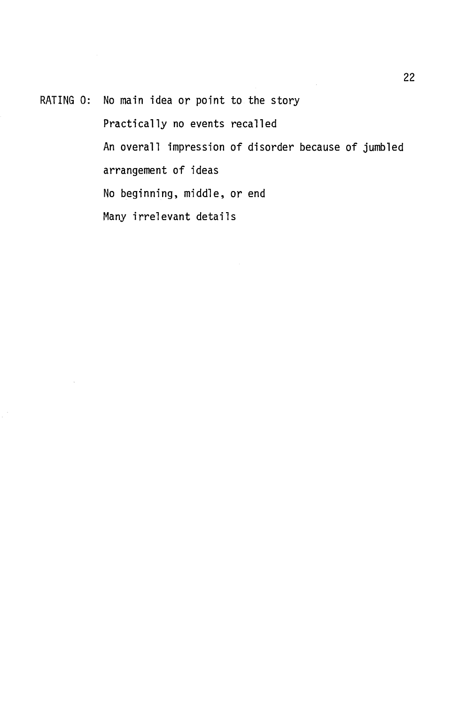RATING 0: No main idea or point to the story

Practically no events recalled An overall impression of disorder because of jumbled arrangement of ideas No beginning, middle, or end Many irrelevant details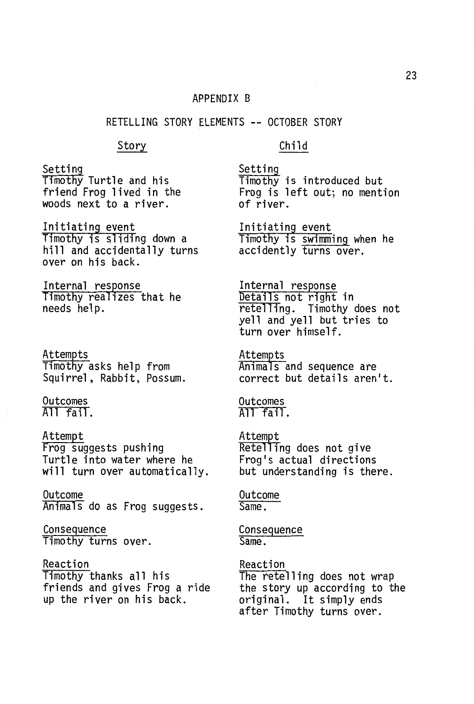#### APPENDIX B

#### RETELLING STORY ELEMENTS -- OCTOBER STORY

#### Story

Setting Timothy Turtle and his friend Frog lived in the woods next to a river.

Initiating event Timothy is sliding down a hill and accidentally turns over on his back.

Internal response Timothy realizes that he needs help.

Attempts Timothy asks help from Squirrel, Rabbit, Possum.

Outcomes All fail.

Attempt Frog suggests pushing Turtle into water where he will turn over automatically.

Outcome Animals do as Frog suggests.

**Consequence** Timothy turns over.

Reaction T1mothy thanks all his friends and gives Frog a ride up the river on his back.

Child

Setting Timothy is introduced but Frog is left out; no mention of river.

Initiating event Timothy is swimming when he accidently turns over.

Internal response Details not right in retelling. Timothy does not yell and yell but tries to turn over himself.

Attempts Animals and sequence are correct but details aren't.

Outcomes All fail.

Attem~t Retelling does not give Frog's actual directions but understanding is there.

Outcome Same.

Consequence Same.

Reaction The retelling does not wrap the story up according to the original. It simply ends after Timothy turns over.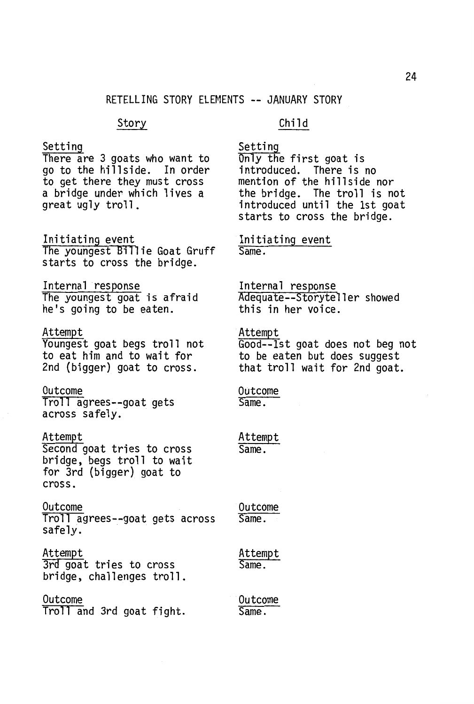#### Story

#### Setting

There are 3 goats who want to go to the hillside. In order to get there they must cross a bridge under which lives a great ugly troll.

Initiating event The youngest Billie Goat Gruff starts to cross the bridge.

Internal response The youngest goat is afraid he's going to be eaten.

#### Attempt

Youngest goat begs troll not to eat him and to wait for 2nd (bigger) goat to cross.

Outcome Troll agrees--goat gets across safely.

#### Attempt

Second goat tries to cross bridge, begs troll to wait for 3rd {bigger) goat to cross.

Outcome Troll agrees--goat gets across safely.

Attempt 3rd goat tries to cross bridge, challenges troll.

#### Outcome

Troll and 3rd goat fight.

#### Child

Setting

Only the first goat is introduced. There is no mention of the hillside nor the bridge. The troll is not introduced until the 1st goat starts to cross the bridge.

Initiating event Same.

Internal response Adequate--Storyteller showed this in her voice.

Attempt Good--lst goat does not beg not to be eaten but does suggest that troll wait for 2nd goat.

Outcome Same.

Attempt Same.

Outcome Same.

Attempt Same.

Outcome Same.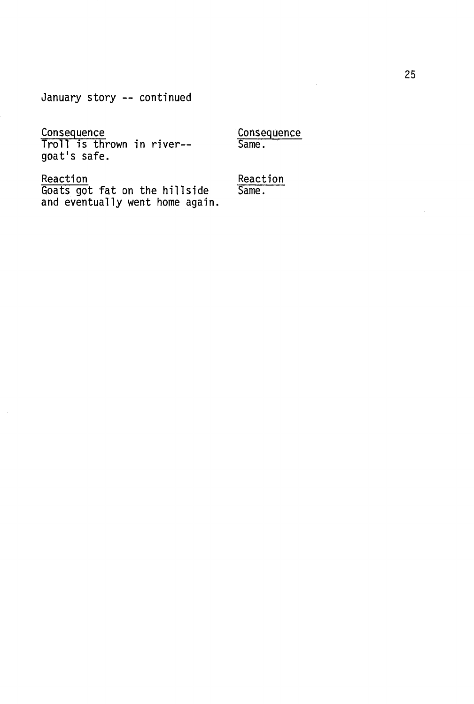January story -- continued

#### **Consequence**

Troll is thrown in river- goat's safe.

**Consequence** Same.

Reaction

Goats got fat on the hillside and eventually went home again. Reaction Same.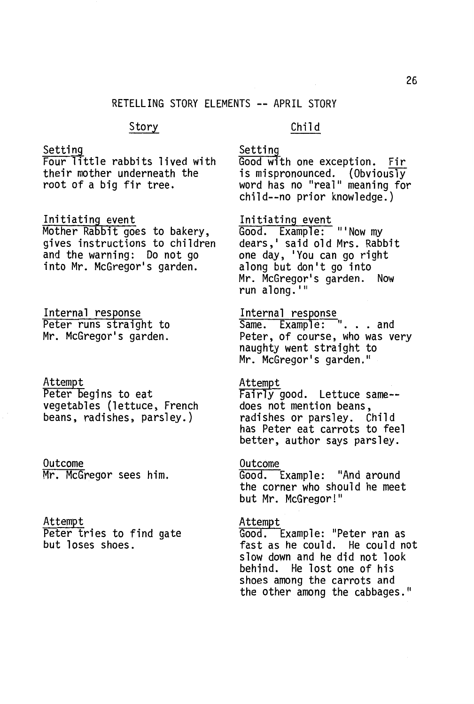#### RETELLING STORY ELEMENTS -- APRIL STORY

#### Story

#### Child

#### Setting

Four little rabbits lived with their mother underneath the root of a big fir tree.

#### Initiating event

Mother Rabbit goes to bakery, gives instructions to children<br>and the warning: Do not go into Mr. McGregor's garden.

Internal response Peter runs straight to Mr. McGregor's garden.

#### Attempt Peter begins to eat vegetables (lettuce, French beans, radishes, parsley.)

Outcome Mr. McGregor sees him.

#### Attempt

Peter tries to find gate<br>but loses shoes.

Setting Good with one exception. Fir is mispronounced. (Obviously word has no "real" meaning for child--no prior knowledge.)

### Initiating event

Good. Example: "'Now my<br>dears,' said old Mrs. Rabbit one day, 'You can go right<br>along but don't go into Mr. McGregor's garden. Now run along.<sup>111</sup>

Internal response<br>Same. Example: ". . . and Peter, of course, who was very naughty went straight to Mr. McGregor's garden."

#### Attempt

Fairly good. Lettuce same- does not mention beans,<br>radishes or parsley. Child radishes or parsley. has Peter eat carrots to feel better, author says parsley.

## Outcome

Good. Example: "And around the corner who should he meet but Mr. McGregor!"

#### Attempt

Good. Example: "Peter ran as fast as he could. He could not slow down and he did not look behind. He lost one of his shoes among the carrots and the other among the cabbages."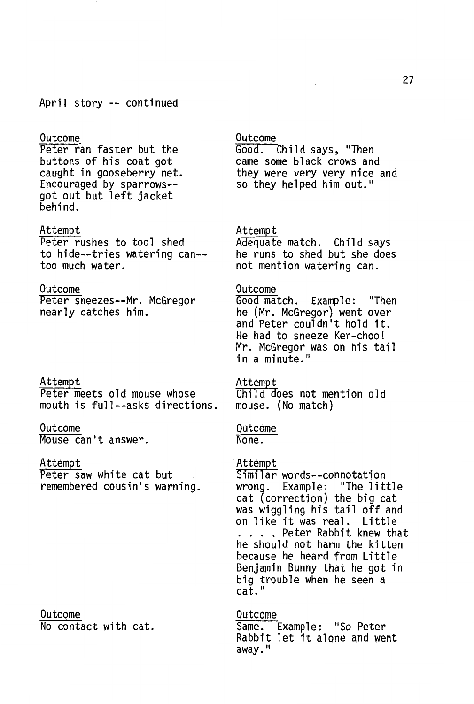#### April story -- continued

#### Outcome

Peter ran faster but the<br>buttons of his coat got buttons of his coat got<br>caught in gooseberry net. Encouraged by sparrows- got out but left jacket<br>behind.

#### Attempt

Peter rushes to tool shed to hide--tries watering can- too much water.

#### Outcome

Peter sneezes--Mr. McGregor nearly catches him.

Attempt Peter meets old mouse whose mouth is full--asks directions.

#### Outcome

Mouse can't answer.

#### Attempt

Peter saw white cat but remembered cousin's warning.

#### Outcome No contact with cat.

## Outcome<br>Good.

Child says, "Then came some black crows and they were very very nice and so they helped him out."

Attempt<br>Adequate match. Child says he runs to shed but she does not mention watering can.

#### Outcome

Good match. Example: "Then he (Mr. McGregor) went over and Peter couldn't hold it. He had to sneeze Ker-choo! Mr. McGregor was on his tail in a minute."

#### Attempt

Child does not mention old mouse. (No match)

Outcome None.

### Attempt

Similar words--connotation wrong. Example: "The little cat (correction) the big cat was wiggling his tail off and on like it was real. Little .... Peter Rabbit knew that he should not harm the kitten because he heard from Little Benjamin Bunny that he got in big trouble when he seen a cať."

Outcome Same. Example: "So Peter Rabbit let it alone and went away."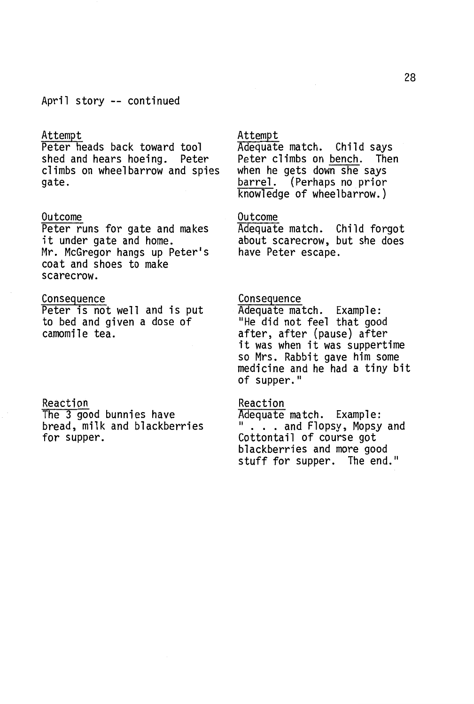#### April story -- continued

#### Attempt

Peter heads back toward tool shed and hears hoeing. Peter climbs on wheelbarrow and spies gate.

#### Outcome

Peter runs for gate and makes it under gate and home. Mr. McGregor hangs up Peter's coat and shoes to make scarecrow.

#### Consequence

Peter is not well and is put to bed and given a dose of camomile tea.

#### Reaction

The 3 good bunnies have bread, milk and blackberries for supper.

#### Attempt

Adequate match. Child says Peter climbs on bench. Then<br>when he gets down she says barrel. (Perhaps no prior knowledge of wheelbarrow.)

#### Outcome

Adequate match. Child forgot about scarecrow, but she does have Peter escape.

Consequence<br>Adequate match. Example: Adequate match. Example: "He did not feel that good after, after {pause) after it was when it was suppertime so Mrs. Rabbit gave him some medicine and he had a tiny bit of supper."

Reaction<br>Adequate match. Example: " . . . and Flopsy, Mopsy and Cottontail of course got blackberries and more good<br>stuff for supper. The end."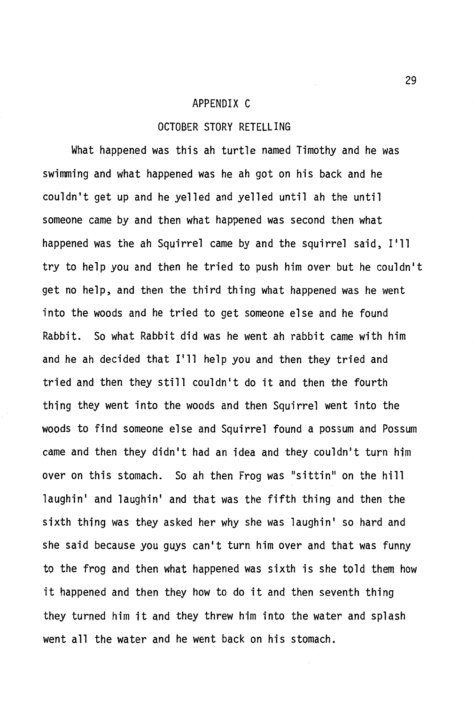#### APPENDIX C

#### OCTOBER STORY RETELLING

What happened was this ah turtle named Timothy and he was swimming and what happened was he ah got on his back and he couldn't get up and he yelled and yelled until ah the until someone came by and then what happened was second then what happened was the ah Squirrel came by and the squirrel said, I'll try to help you and then he tried to push him over but he couldn't get no help, and then the third thing what happened was he went into the woods and he tried to get someone else and he found Rabbit. So what Rabbit did was he went ah rabbit came with him and he ah decided that I'll help you and then they tried and tried and then they still couldn't do it and then the fourth thing they went into the woods and then Squirrel went into the woods to find someone else and Squirrel found a possum and Possum came and then they didn't had an idea and they couldn't turn him over on this stomach. So ah then Frog was "sittin" on the hill laughin' and laughin' and that was the fifth thing and then the sixth thing was they asked her why she was laughin' so hard and she said because you guys can't turn him over and that was funny to the frog and then what happened was sixth is she told them how it happened and then they how to do it and then seventh thing they turned him it and they threw him into the water and splash went all the water and he went back on his stomach.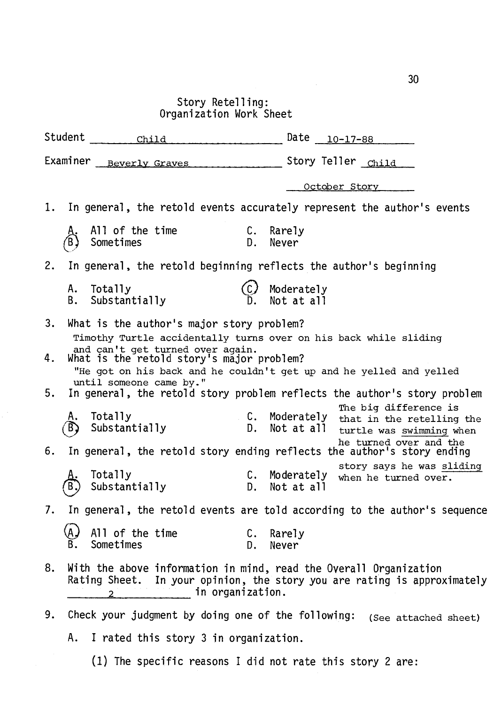# Story Retelling: Organization Work Sheet

| Student                                                                                                                                                                                                                        | Child                                                                                               |                    | Date $_{10-17-88}$                                                                                            |  |  |
|--------------------------------------------------------------------------------------------------------------------------------------------------------------------------------------------------------------------------------|-----------------------------------------------------------------------------------------------------|--------------------|---------------------------------------------------------------------------------------------------------------|--|--|
| Examiner Beverly Graves                                                                                                                                                                                                        |                                                                                                     | Story Teller Child |                                                                                                               |  |  |
|                                                                                                                                                                                                                                |                                                                                                     |                    | October Story                                                                                                 |  |  |
| 1.                                                                                                                                                                                                                             |                                                                                                     |                    | In general, the retold events accurately represent the author's events                                        |  |  |
|                                                                                                                                                                                                                                | All of the time<br>Sometimes                                                                        | С.<br>D.           | Rarely<br>Never                                                                                               |  |  |
| 2.                                                                                                                                                                                                                             | In general, the retold beginning reflects the author's beginning                                    |                    |                                                                                                               |  |  |
| А.<br>В.                                                                                                                                                                                                                       | Totally<br>Substantially                                                                            |                    | Moderately<br>Not at all                                                                                      |  |  |
| 3.                                                                                                                                                                                                                             | What is the author's major story problem?                                                           |                    |                                                                                                               |  |  |
| Timothy Turtle accidentally turns over on his back while sliding<br>and can't get turned over again.<br>What is the retold story's major problem?<br>4.<br>"He got on his back and he couldn't get up and he yelled and yelled |                                                                                                     |                    |                                                                                                               |  |  |
| 5.                                                                                                                                                                                                                             | until someone came by."<br>In general, the retold story problem reflects the author's story problem |                    |                                                                                                               |  |  |
|                                                                                                                                                                                                                                | Totally<br>Substantially                                                                            | D.                 | The big difference is<br>C. Moderately<br>that in the retelling the<br>Not at all<br>turtle was swimming when |  |  |
| 6.                                                                                                                                                                                                                             | he turned over and the<br>In general, the retold story ending reflects the author's story ending    |                    |                                                                                                               |  |  |
|                                                                                                                                                                                                                                | Totally<br>Substantially                                                                            | C.<br>D.           | story says he was sliding<br>Moderately<br>when he turned over.<br>Not at all                                 |  |  |
| 7.<br>In general, the retold events are told according to the author's sequence                                                                                                                                                |                                                                                                     |                    |                                                                                                               |  |  |
|                                                                                                                                                                                                                                | All of the time<br>Sometimes                                                                        | С.<br>D.           | Rarely<br>Never                                                                                               |  |  |
| With the above information in mind, read the Overall Organization<br>8.<br>Rating Sheet. In your opinion, the story you are rating is approximately<br>2 in organization.                                                      |                                                                                                     |                    |                                                                                                               |  |  |
| 9.                                                                                                                                                                                                                             | Check your judgment by doing one of the following:                                                  |                    | (See attached sheet)                                                                                          |  |  |
| A. I rated this story 3 in organization.                                                                                                                                                                                       |                                                                                                     |                    |                                                                                                               |  |  |

(1) The specific reasons I did not rate this story 2 are: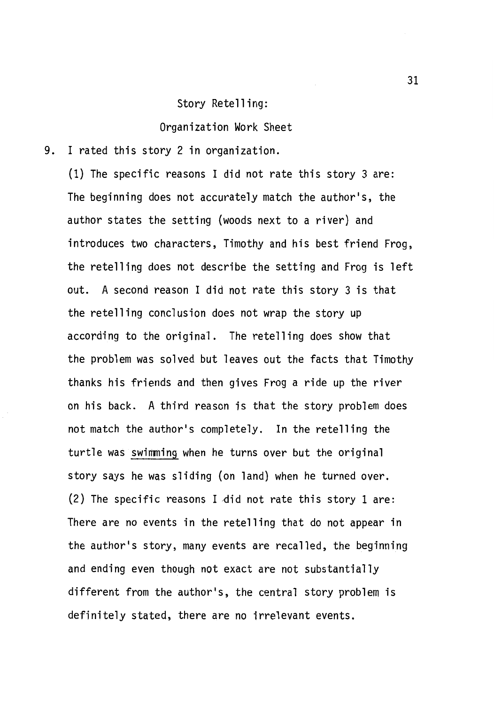#### Story Retelling:

Organization Work Sheet

9. I rated this story 2 in organization.

(1) The specific reasons I did not rate this story 3 are: The beginning does not accurately match the author's, the author states the setting (woods next to a river) and introduces two characters, Timothy and his best friend Frog, the retelling does not describe the setting and Frog is left out. A second reason I did not rate this story 3 is that the retelling conclusion does not wrap the story up according to the original. The retelling does show that the problem was solved but leaves out the facts that Timothy thanks his friends and then gives Frog a ride up the river on his back. A third reason is that the story problem does not match the author's completely. In the retelling the turtle was swimming when he turns over but the original story says he was sliding (on land) when he turned over.  $(2)$  The specific reasons I did not rate this story 1 are: There are no events in the retelling that do not appear in the author's story, many events are recalled, the beginning and ending even though not exact are not substantially different from the author's, the central story problem is definitely stated, there are no irrelevant events.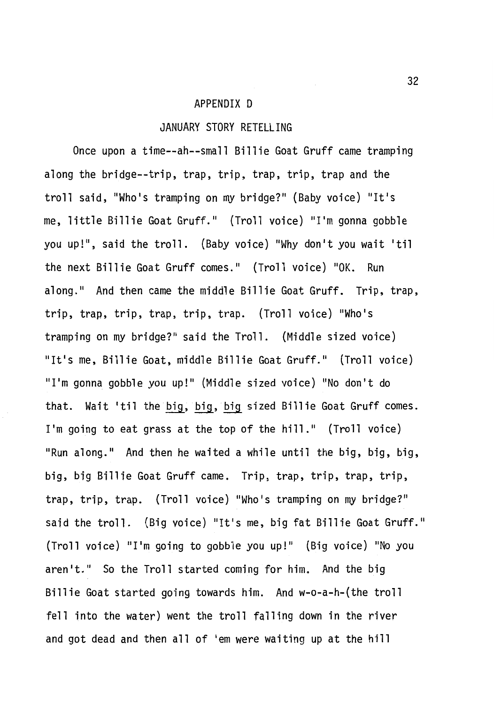#### APPENDIX D

#### JANUARY STORY RETELLING

Once upon a time--ah--small Billie Goat Gruff came tramping along the bridge--trip, trap, trip, trap, trip, trap and the troll said, "Who's tramping on my bridge?" (Baby voice) "It's me, little Billie Goat Gruff." (Troll voice) "I'm gonna gobble you up!", said the troll. (Baby voice) "Why don't you wait 'til the next Billie Goat Gruff comes." (Troll voice) "OK. Run along." And then came the middle Billie Goat Gruff. Trip, trap, trip, trap, trip, trap, trip, trap. (Troll voice) "Who's tramping on my bridge?" said the Troll. (Middle sized voice) "It's me, Billie Goat, middle Billie Goat Gruff." (Troll voice) "I'm gonna gobble you up!" (Middle sized voice) "No don't do that. Wait 'til the big, big, big sized Billie Goat Gruff comes. I'm going to eat grass at the top of the hill." (Troll voice) "Run along." And then he waited a while until the big, big, big, big, big Billie Goat Gruff came. Trip, trap, trip, trap, trip, trap, trip, trap. (Troll voice) "Who's tramping on my bridge?" said the troll. (Big voice) "It's me, big fat Billie Goat Gruff." (Troll voice) "I'm going to gobble you up!" (Big voice) "No you aren't." So the Troll started coming for him. And the big Billie Goat started going towards him. And w-o-a-h-(the troll fell into the water) went the troll falling down in the river and got dead and then all of 'em were waiting up at the hill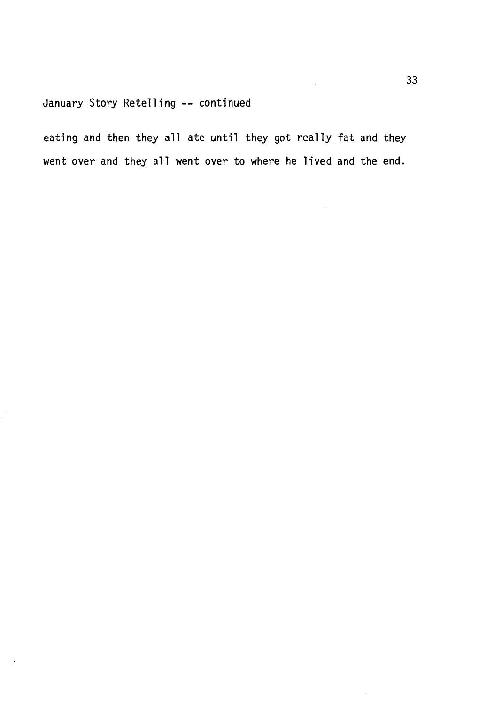### January Story Retelling -- continued

eating and then they all ate until they got really fat and they went over and they all went over to where he lived and the end.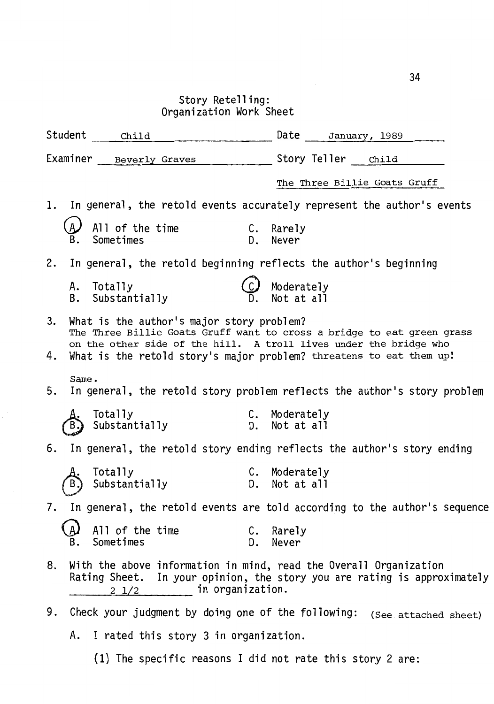Story Retelling: Organization Work Sheet

| Student     | child                                                |          | Date January, 1989                                                                                                                          |
|-------------|------------------------------------------------------|----------|---------------------------------------------------------------------------------------------------------------------------------------------|
|             | Examiner Beverly Graves Story Teller Child           |          |                                                                                                                                             |
|             |                                                      |          | The Three Billie Goats Gruff                                                                                                                |
|             |                                                      |          | 1. In general, the retold events accurately represent the author's events                                                                   |
|             | All of the time<br>Sometimes C. Rarely<br>Sometimes  |          | D. Never                                                                                                                                    |
|             |                                                      |          | 2. In general, the retold beginning reflects the author's beginning                                                                         |
|             | A. Totally<br>B. Substantially                       |          | Moderately<br>Not at all                                                                                                                    |
| 3.          | What is the author's major story problem?            |          | The Three Billie Goats Gruff want to cross a bridge to eat green grass<br>on the other side of the hill. A troll lives under the bridge who |
| 4.          |                                                      |          | What is the retold story's major problem? threatens to eat them up!                                                                         |
| Same.<br>5. |                                                      |          | In general, the retold story problem reflects the author's story problem                                                                    |
|             | Totally C. Moderately<br>Substantially 5. Not at all |          |                                                                                                                                             |
|             |                                                      |          | 6. In general, the retold story ending reflects the author's story ending                                                                   |
|             | Totally<br>Totally<br>Substantially                  |          | C. Moderately<br>D. Not at all                                                                                                              |
|             |                                                      |          | 7. In general, the retold events are told according to the author's sequence                                                                |
|             | All of the time<br>Sometimes                         | C.<br>D. | Rarely<br>Never                                                                                                                             |
| 8.          | Rating Sheet.<br>in organization.<br>$2\frac{1}{2}$  |          | With the above information in mind, read the Overall Organization<br>In your opinion, the story you are rating is approximately             |
| 9.          | Check your judgment by doing one of the following:   |          | (See attached sheet)                                                                                                                        |
| А.          | I rated this story 3 in organization.                |          |                                                                                                                                             |

(1) The specific reasons I did not rate this story 2 are: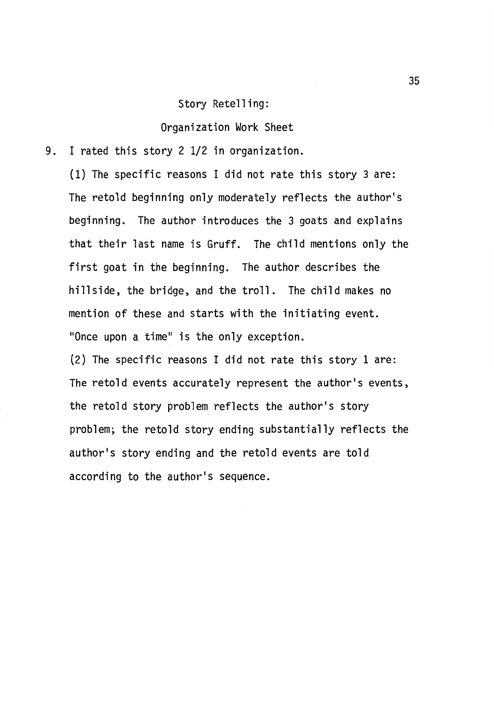#### Story Retelling:

Organization Work Sheet

9. I rated this story 2 1/2 in organization.

(1) The specific reasons I did not rate this story 3 are: The retold beginning only moderately reflects the author's beginning. The author introduces the 3 goats and explains that their last name is Gruff. The child mentions only the first goat in the beginning. The author describes the hillside, the bridge, and the troll. The child makes no mention of these and starts with the initiating event. "Once upon a time" is the only exception.

(2) The specific reasons I did not rate this story 1 are: The retold events accurately represent the author's events, the retold story problem reflects the author's story problem; the retold story ending substantially reflects the author's story ending and the retold events are told according to the author's sequence.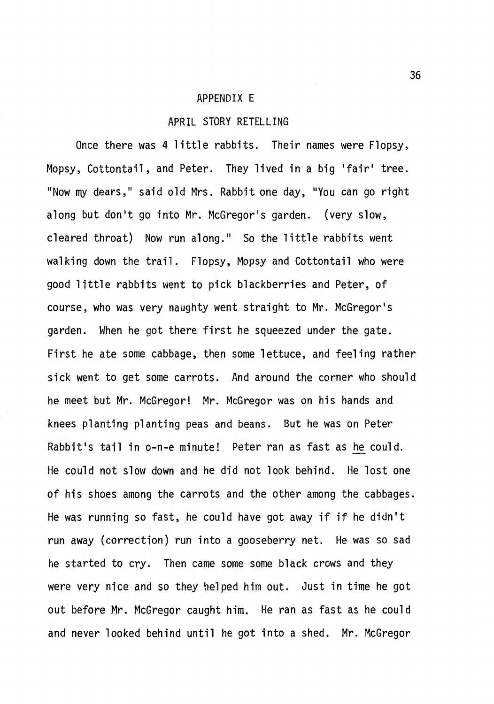#### APPENDIX E

#### APRIL STORY RETELLING

Once there was 4 little rabbits. Their names were Flopsy, Mopsy, Cottontail, and Peter. They lived in a big 'fair' tree. "Now my dears," said old Mrs. Rabbit one day, "You can go right along but don't go into Mr. McGregor's garden. (very slow, cleared throat) Now run along." So the little rabbits went walking down the trail. Flopsy, Mopsy and Cottontail who were good little rabbits went to pick blackberries and Peter, of course, who was very naughty went straight to Mr. McGregor's garden. When he got there first he squeezed under the gate. First he ate some cabbage, then some lettuce, and feeling rather sick went to get some carrots. And around the corner who should he meet but Mr. McGregor! Mr. McGregor was on his hands and knees planting planting peas and beans. But he was on Peter Rabbit's tail in o-n-e minute! Peter ran as fast as he could. He could not slow down and he did not look behind. He lost one of his shoes among the carrots and the other among the cabbages. He was running so fast, he could have got away if if he didn't run away (correction) run into a gooseberry net. He was so sad he started to cry. Then came some some black crows and they were very nice and so they helped him out. Just in time he got out before Mr. McGregor caught him. He ran as fast as he could and never looked behind until he got into a shed. Mr. McGregor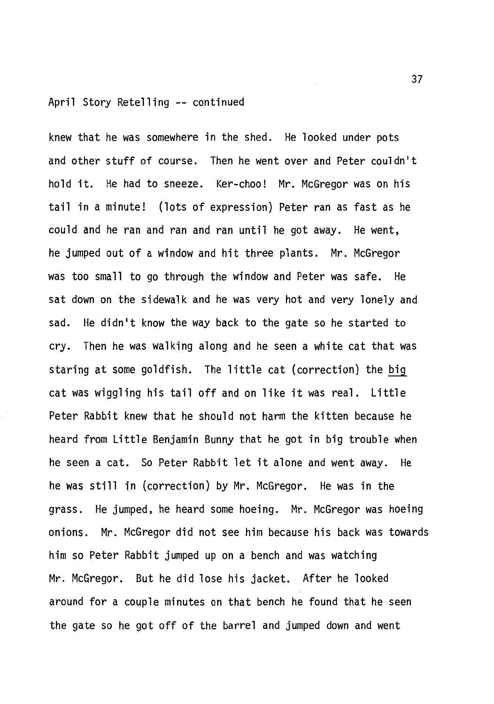#### April Story Retelling -- continued

knew that he was somewhere in the shed. He looked under pots and other stuff of course. Then he went over and Peter couldn't hold it. He had to sneeze. Ker-choo! Mr. McGregor was on his tail in a minute! (lots of expression) Peter ran as fast as he could and he ran and ran and ran until he got away. He went, he jumped out of a window and hit three plants. Mr. McGregor was too small to go through the window and Peter was safe. He sat down on the sidewalk and he was very hot and very lonely and sad. He didn't know the way back to the gate so he started to cry. Then he was walking along and he seen a white cat that was staring at some goldfish. The little cat (correction) the big cat was wiggling his tail off and on like it was real. Little Peter Rabbit knew that he should not harm the kitten because he heard from Little Benjamin Bunny that he got in big trouble when he seen a cat. So Peter Rabbit let it alone and went away. He he was still in (correction) by Mr. McGregor. He was in the grass. He jumped, he heard some hoeing. Mr. McGregor was hoeing onions. Mr. McGregor did not see him because his back was towards him so Peter Rabbit jumped up on a bench and was watching Mr. McGregor. But he did lose his jacket. After he looked around for a couple minutes on that bench he found that he seen the gate so he got off of the barrel and jumped down and went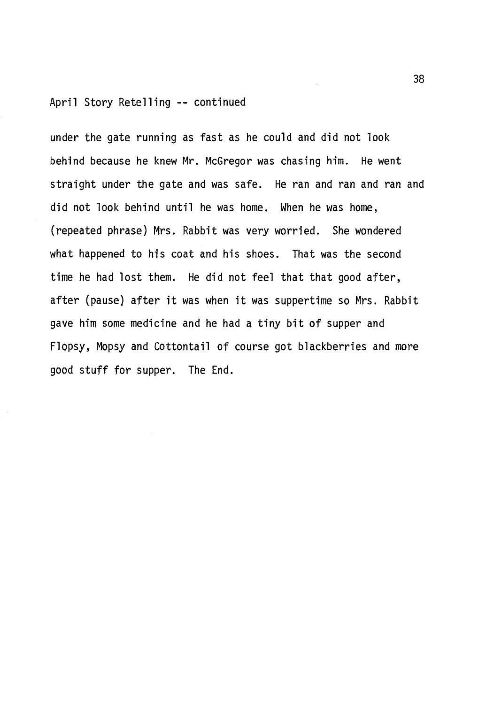#### April Story Retelling -- continued

under the gate running as fast as he could and did not look behind because he knew Mr. McGregor was chasing him. He went straight under the gate and was safe. He ran and ran and ran and did not look behind until he was home. When he was home, (repeated phrase) Mrs. Rabbit was very worried. She wondered what happened to his coat and his shoes. That was the second time he had lost them. He did not feel that that good after, after (pause) after it was when it was suppertime so Mrs. Rabbit gave him some medicine and he had a tiny bit of supper and Flopsy, Mopsy and Cottontail of course got blackberries and more good stuff for supper. The End.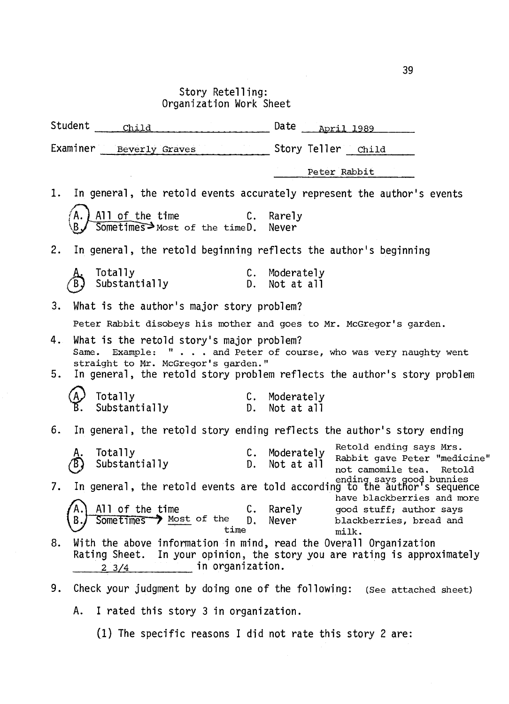Story Retelling: Organization Work Sheet

Student --~Ch=i=l=d \_\_\_\_\_\_\_\_\_\_\_\_ Date -~A-p~r=i=l~l-9~89....\_ \_\_ \_ Examiner Beverly Graves **Examiner** Child Peter Rabbit 1. In general, the retold events accurately represent the author's events All of the time C. Sometimes Most of the timeD. Rarely Never 2. In general, the retold beginning reflects the author's beginning Totally<br>Substantially C. Moderately D. Not at all 3. What is the author's major story problem? Peter Rabbit disobeys his mother and goes to Mr. McGregor's garden. 4. What is the retold story's major problem? Same. Example: " . . . and Peter of course, who was very naughty went straight to Mr. McGregor's garden. '' 5. In general, the retold story problem reflects the author's story problem Totally C. Moderately<br>Substantially C. Not at all Substantially 6. ln general, the retold story ending reflects the author's story ending A. Totally C. Moderately Retold ending says Mrs.<br>
(B) Substantially C. Not at all not camomile tea. Reto<br>
method and increase says good bunnie Totally C. Moderately Retold ending says Mrs.<br>Substantially Substantially D. Not at all not camomile tea. Retold ending says good bunnies<br>7. In general, the retold events are told according to the author's sequence<br>have blackberries and more All of the time The C. Rarely a good stuff; author says **Sometimes** > Most of the D. Never blackberries, bread and time milk. 8. With the above information in mind, read the Overall Organization Rating Sheet. In your opinion, the story you are rating is approximately  $-2$   $-3/4$  in organization. 9. Check your judgment by doing one of the following: (See attached sheet) A. I rated this story 3 in organization.

(1) The specific reasons I did not rate this story 2 are: